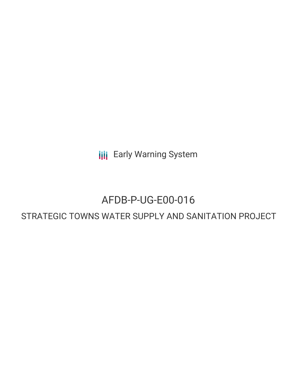**III** Early Warning System

## AFDB-P-UG-E00-016

## STRATEGIC TOWNS WATER SUPPLY AND SANITATION PROJECT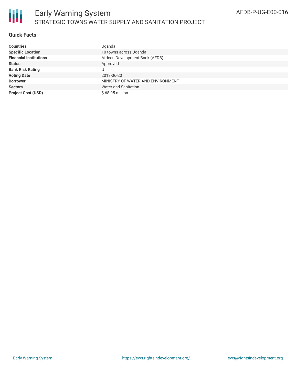

### **Quick Facts**

| <b>Countries</b>              | Uganda                            |
|-------------------------------|-----------------------------------|
| <b>Specific Location</b>      | 10 towns across Uganda            |
| <b>Financial Institutions</b> | African Development Bank (AFDB)   |
| <b>Status</b>                 | Approved                          |
| <b>Bank Risk Rating</b>       | U                                 |
| <b>Voting Date</b>            | 2018-06-20                        |
| <b>Borrower</b>               | MINISTRY OF WATER AND ENVIRONMENT |
| <b>Sectors</b>                | Water and Sanitation              |
| <b>Project Cost (USD)</b>     | \$68.95 million                   |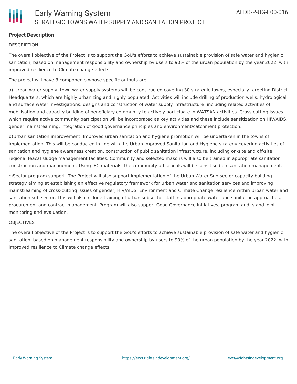### **Project Description**

### **DESCRIPTION**

The overall objective of the Project is to support the GoU's efforts to achieve sustainable provision of safe water and hygienic sanitation, based on management responsibility and ownership by users to 90% of the urban population by the year 2022, with improved resilience to Climate change effects.

The project will have 3 components whose specific outputs are:

a) Urban water supply: town water supply systems will be constructed covering 30 strategic towns, especially targeting District Headquarters, which are highly urbanizing and highly populated. Activities will include drilling of production wells, hydrological and surface water investigations, designs and construction of water supply infrastructure, including related activities of mobilisation and capacity building of beneficiary community to actively participate in WATSAN activities. Cross cutting issues which require active community participation will be incorporated as key activities and these include sensitization on HIV/AIDS, gender mainstreaming, integration of good governance principles and environment/catchment protection.

b)Urban sanitation improvement: Improved urban sanitation and hygiene promotion will be undertaken in the towns of implementation. This will be conducted in line with the Urban Improved Sanitation and Hygiene strategy covering activities of sanitation and hygiene awareness creation, construction of public sanitation infrastructure, including on-site and off-site regional feacal sludge management facilities. Community and selected masons will also be trained in appropriate sanitation construction and management. Using IEC materials, the community ad schools will be sensitised on sanitation management.

c)Sector program support: The Project will also support implementation of the Urban Water Sub-sector capacity building strategy aiming at establishing an effective regulatory framework for urban water and sanitation services and improving mainstreaming of cross-cutting issues of gender, HIV/AIDS, Environment and Climate Change resilience within Urban water and sanitation sub-sector. This will also include training of urban subsector staff in appropriate water and sanitation approaches, procurement and contract management. Program will also support Good Governance initiatives, program audits and joint monitoring and evaluation.

#### **OBIECTIVES**

The overall objective of the Project is to support the GoU's efforts to achieve sustainable provision of safe water and hygienic sanitation, based on management responsibility and ownership by users to 90% of the urban population by the year 2022, with improved resilience to Climate change effects.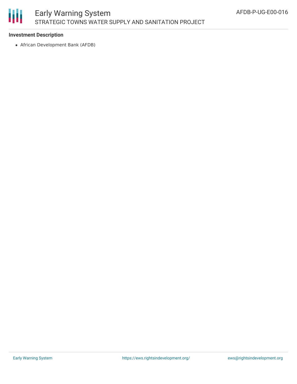# Ш

### Early Warning System STRATEGIC TOWNS WATER SUPPLY AND SANITATION PROJECT

### **Investment Description**

African Development Bank (AFDB)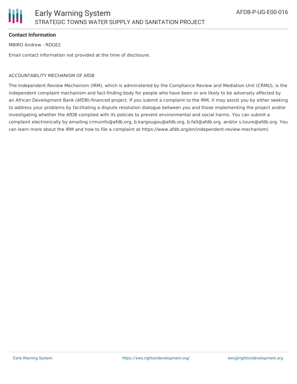### **Contact Information**

MBIRO Andrew - RDGE2

Email contact information not provided at the time of disclosure.

### ACCOUNTABILITY MECHANISM OF AfDB

The Independent Review Mechanism (IRM), which is administered by the Compliance Review and Mediation Unit (CRMU), is the independent complaint mechanism and fact-finding body for people who have been or are likely to be adversely affected by an African Development Bank (AfDB)-financed project. If you submit a complaint to the IRM, it may assist you by either seeking to address your problems by facilitating a dispute resolution dialogue between you and those implementing the project and/or investigating whether the AfDB complied with its policies to prevent environmental and social harms. You can submit a complaint electronically by emailing crmuinfo@afdb.org, b.kargougou@afdb.org, b.fall@afdb.org, and/or s.toure@afdb.org. You can learn more about the IRM and how to file a complaint at https://www.afdb.org/en/independent-review-mechanism/.